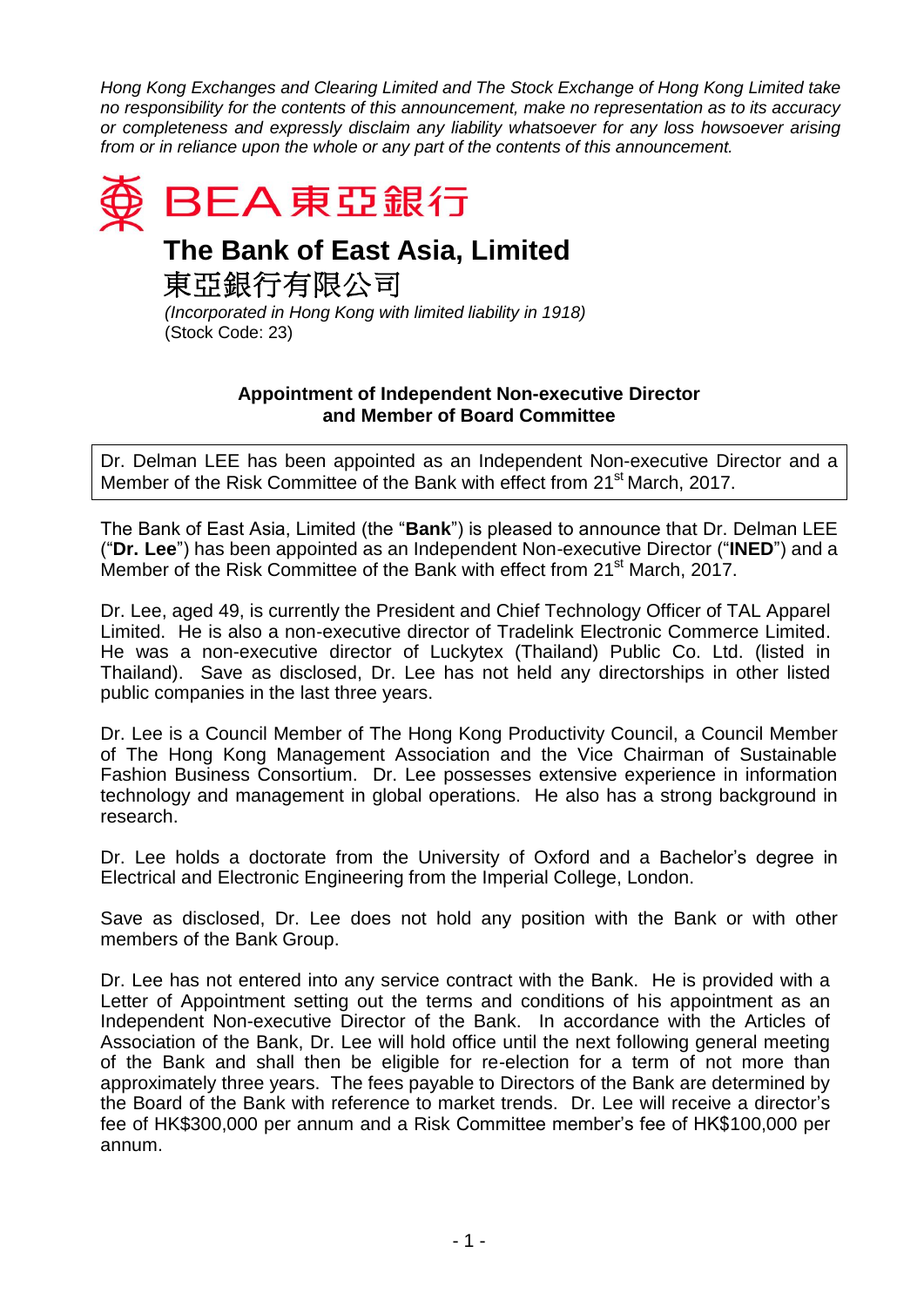*Hong Kong Exchanges and Clearing Limited and The Stock Exchange of Hong Kong Limited take no responsibility for the contents of this announcement, make no representation as to its accuracy or completeness and expressly disclaim any liability whatsoever for any loss howsoever arising from or in reliance upon the whole or any part of the contents of this announcement.*



## **The Bank of East Asia, Limited**

東亞銀行有限公司

*(Incorporated in Hong Kong with limited liability in 1918)* (Stock Code: 23)

## **Appointment of Independent Non-executive Director and Member of Board Committee**

Dr. Delman LEE has been appointed as an Independent Non-executive Director and a Member of the Risk Committee of the Bank with effect from 21<sup>st</sup> March, 2017.

The Bank of East Asia, Limited (the "**Bank**") is pleased to announce that Dr. Delman LEE ("**Dr. Lee**") has been appointed as an Independent Non-executive Director ("**INED**") and a Member of the Risk Committee of the Bank with effect from 21<sup>st</sup> March, 2017.

Dr. Lee, aged 49, is currently the President and Chief Technology Officer of TAL Apparel Limited. He is also a non-executive director of Tradelink Electronic Commerce Limited. He was a non-executive director of Luckytex (Thailand) Public Co. Ltd. (listed in Thailand). Save as disclosed, Dr. Lee has not held any directorships in other listed public companies in the last three years.

Dr. Lee is a Council Member of The Hong Kong Productivity Council, a Council Member of The Hong Kong Management Association and the Vice Chairman of Sustainable Fashion Business Consortium. Dr. Lee possesses extensive experience in information technology and management in global operations. He also has a strong background in research.

Dr. Lee holds a doctorate from the University of Oxford and a Bachelor's degree in Electrical and Electronic Engineering from the Imperial College, London.

Save as disclosed, Dr. Lee does not hold any position with the Bank or with other members of the Bank Group.

Dr. Lee has not entered into any service contract with the Bank. He is provided with a Letter of Appointment setting out the terms and conditions of his appointment as an Independent Non-executive Director of the Bank. In accordance with the Articles of Association of the Bank, Dr. Lee will hold office until the next following general meeting of the Bank and shall then be eligible for re-election for a term of not more than approximately three years. The fees payable to Directors of the Bank are determined by the Board of the Bank with reference to market trends. Dr. Lee will receive a director's fee of HK\$300,000 per annum and a Risk Committee member's fee of HK\$100,000 per annum.